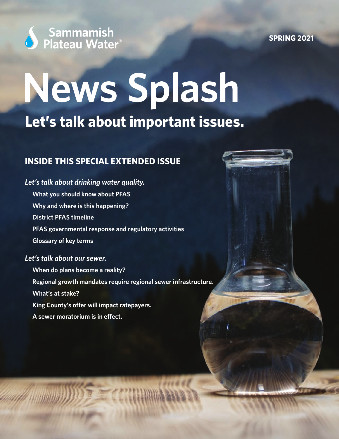

**SPRING 2021**

# **News Splash Let's talk about important issues.**

### **INSIDE THIS SPECIAL EXTENDED ISSUE**

## *Let's talk about drinking water quality.* **What you should know about PFAS Why and where is this happening? District PFAS timeline PFAS governmental response and regulatory activities Glossary of key terms** *Let's talk about our sewer.*

**When do plans become a reality? Regional growth mandates require regional sewer infrastructure. What's at stake? King County's offer will impact ratepayers. A sewer moratorium is in effect.**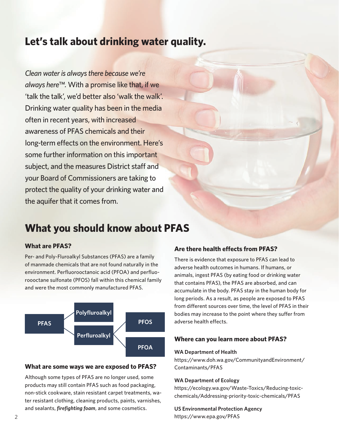## **Let's talk about drinking water quality.**

*Clean water is always there because we're always here™.* With a promise like that, if we 'talk the talk', we'd better also 'walk the walk'. Drinking water quality has been in the media often in recent years, with increased awareness of PFAS chemicals and their long-term effects on the environment. Here's some further information on this important subject, and the measures District staff and your Board of Commissioners are taking to protect the quality of your drinking water and the aquifer that it comes from.

## **What you should know about PFAS**

#### **What are PFAS?**

Per- and Poly-Fluroalkyl Substances (PFAS) are a family of manmade chemicals that are not found naturally in the environment. Perfluorooctanoic acid (PFOA) and perfluoroooctane sulfonate (PFOS) fall within this chemical family and were the most commonly manufactured PFAS.



#### **What are some ways we are exposed to PFAS?**

Although some types of PFAS are no longer used, some products may still contain PFAS such as food packaging, non-stick cookware, stain resistant carpet treatments, water resistant clothing, cleaning products, paints, varnishes, and sealants, *firefighting foam*, and some cosmetics.

#### **Are there health effects from PFAS?**

There is evidence that exposure to PFAS can lead to adverse health outcomes in humans. If humans, or animals, ingest PFAS (by eating food or drinking water that contains PFAS), the PFAS are absorbed, and can accumulate in the body. PFAS stay in the human body for long periods. As a result, as people are exposed to PFAS from different sources over time, the level of PFAS in their bodies may increase to the point where they suffer from adverse health effects.

#### **Where can you learn more about PFAS?**

#### **WA Department of Health**

https://www.doh.wa.gov/CommunityandEnvironment/ Contaminants/PFAS

#### **WA Department of Ecology**

https://ecology.wa.gov/Waste-Toxics/Reducing-toxicchemicals/Addressing-priority-toxic-chemicals/PFAS

**US Environmental Protection Agency** https://www.epa.gov/PFAS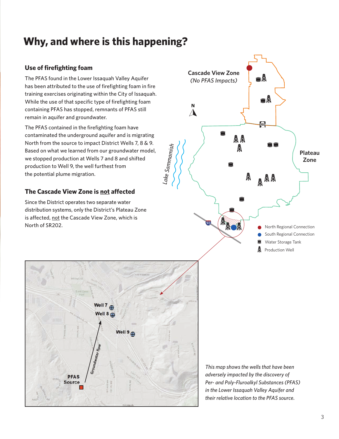## **Why, and where is this happening?**

#### **Use of firefighting foam**

The PFAS found in the Lower Issaquah Valley Aquifer has been attributed to the use of firefighting foam in fire training exercises originating within the City of Issaquah. While the use of that specific type of firefighting foam containing PFAS has stopped, remnants of PFAS still remain in aquifer and groundwater.

The PFAS contained in the firefighting foam have contaminated the underground aquifer and is migrating North from the source to impact District Wells 7, 8 & 9. Based on what we learned from our groundwater model, we stopped production at Wells 7 and 8 and shifted production to Well 9, the well furthest from the potential plume migration.

#### **The Cascade View Zone is not affected**

Since the District operates two separate water distribution systems, only the District's Plateau Zone is affected, not the Cascade View Zone, which is North of SR202.





*This map shows the wells that have been adversely impacted by the discovery of Per- and Poly-Fluroalkyl Substances (PFAS) in the Lower Issaquah Valley Aquifer and their relative location to the PFAS source.*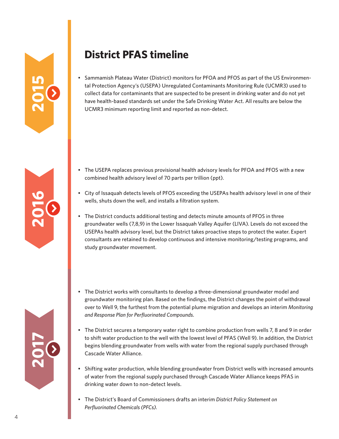## **District PFAS timeline**

• Sammamish Plateau Water (District) monitors for PFOA and PFOS as part of the US Environmental Protection Agency's (USEPA) Unregulated Contaminants Monitoring Rule (UCMR3) used to collect data for contaminants that are suspected to be present in drinking water and do not yet have health-based standards set under the Safe Drinking Water Act. All results are below the UCMR3 minimum reporting limit and reported as non-detect.

- The USEPA replaces previous provisional health advisory levels for PFOA and PFOS with a new combined health advisory level of 70 parts per trillion (ppt).
- City of Issaquah detects levels of PFOS exceeding the USEPAs health advisory level in one of their wells, shuts down the well, and installs a filtration system.
- The District conducts additional testing and detects minute amounts of PFOS in three groundwater wells (7,8,9) in the Lower Issaquah Valley Aquifer (LIVA). Levels do not exceed the USEPAs health advisory level, but the District takes proactive steps to protect the water. Expert consultants are retained to develop continuous and intensive monitoring/testing programs, and study groundwater movement.
- The District works with consultants to develop a three-dimensional groundwater model and groundwater monitoring plan. Based on the findings, the District changes the point of withdrawal over to Well 9, the furthest from the potential plume migration and develops an interim *Monitoring and Response Plan for Perfluorinated Compounds.*
- The District secures a temporary water right to combine production from wells 7, 8 and 9 in order to shift water production to the well with the lowest level of PFAS (Well 9). In addition, the District begins blending groundwater from wells with water from the regional supply purchased through Cascade Water Alliance.
- Shifting water production, while blending groundwater from District wells with increased amounts of water from the regional supply purchased through Cascade Water Alliance keeps PFAS in drinking water down to non-detect levels.
- The District's Board of Commissioners drafts an interim *District Policy Statement on Perfluorinated Chemicals (PFCs).*

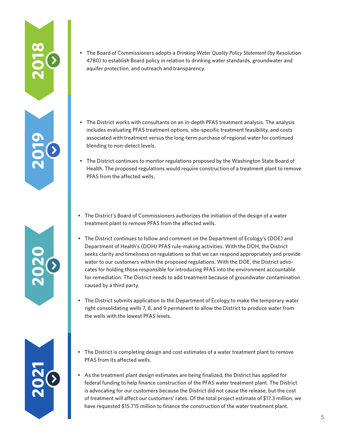• The Board of Commissioners adopts a *Drinking Water Quality Policy Statement* (by Resolution 4780) to establish Board policy in relation to drinking water standards, groundwater and aquifer protection, and outreach and transparency.

**2018**

**2019**

**2020**

**2021**

- The District works with consultants on an in-depth PFAS treatment analysis. The analysis includes evaluating PFAS treatment options, site-specific treatment feasibility, and costs associated with treatment versus the long-term purchase of regional water for continued blending to non-detect levels.
- The District continues to monitor regulations proposed by the Washington State Board of Health. The proposed regulations would require construction of a treatment plant to remove PFAS from the affected wells.
- The District's Board of Commissioners authorizes the initiation of the design of a water treatment plant to remove PFAS from the affected wells.
- The District continues to follow and comment on the Department of Ecology's (DOE) and Department of Health's (DOH) PFAS rule-making activities. With the DOH, the District seeks clarity and timeliness on regulations so that we can respond appropriately and provide water to our customers within the proposed regulations. With the DOE, the District advocates for holding those responsible for introducing PFAS into the environment accountable for remediation. The District needs to add treatment because of groundwater contamination caused by a third party.
- The District submits application to the Department of Ecology to make the temporary water right consolidating wells 7, 8, and 9 permanent to allow the District to produce water from the wells with the lowest PFAS levels.
- The District is completing design and cost estimates of a water treatment plant to remove PFAS from its affected wells.
- As the treatment plant design estimates are being finalized, the District has applied for federal funding to help finance construction of the PFAS water treatment plant. The District is advocating for our customers because the District did not cause the release, but the cost of treatment will affect our customers' rates. Of the total project estimate of \$17.3 million, we have requested \$15.715 million to finance the construction of the water treatment plant.

5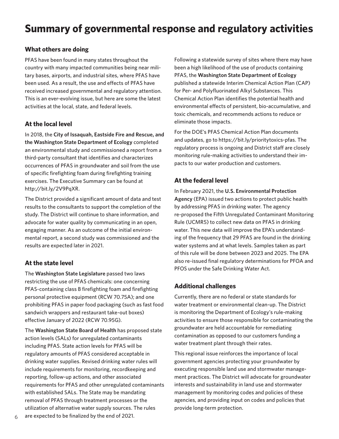## **Summary of governmental response and regulatory activities**

#### **What others are doing**

PFAS have been found in many states throughout the country with many impacted communities being near military bases, airports, and industrial sites, where PFAS have been used. As a result, the use and effects of PFAS have received increased governmental and regulatory attention. This is an ever-evolving issue, but here are some the latest activities at the local, state, and federal levels.

#### **At the local level**

In 2018, the **City of Issaquah, Eastside Fire and Rescue, and the Washington State Department of Ecology** completed an environmental study and commissioned a report from a third-party consultant that identifies and characterizes occurrences of PFAS in groundwater and soil from the use of specific firefighting foam during firefighting training exercises. The Executive Summary can be found at http://bit.ly/2V9PqXR.

The District provided a significant amount of data and test results to the consultants to support the completion of the study. The District will continue to share information, and advocate for water quality by communicating in an open, engaging manner. As an outcome of the initial environmental report, a second study was commissioned and the results are expected later in 2021.

#### **At the state level**

The **Washington State Legislature** passed two laws restricting the use of PFAS chemicals: one concerning PFAS-containing class B firefighting foam and firefighting personal protective equipment (RCW 70.75A); and one prohibiting PFAS in paper food packaging (such as fast food sandwich wrappers and restaurant take-out boxes) effective January of 2022 (RCW 70.95G).

The **Washington State Board of Health** has proposed state action levels (SALs) for unregulated contaminants including PFAS. State action levels for PFAS will be regulatory amounts of PFAS considered acceptable in drinking water supplies. Revised drinking water rules will include requirements for monitoring, recordkeeping and reporting, follow-up actions, and other associated requirements for PFAS and other unregulated contaminants with established SALs. The State may be mandating removal of PFAS through treatment processes or the utilization of alternative water supply sources. The rules

Following a statewide survey of sites where there may have been a high likelihood of the use of products containing PFAS, the **Washington State Department of Ecology** published a statewide Interim Chemical Action Plan (CAP) for Per- and Polyfluorinated Alkyl Substances. This Chemical Action Plan identifies the potential health and environmental effects of persistent, bio-accumulative, and toxic chemicals, and recommends actions to reduce or eliminate those impacts.

For the DOE's PFAS Chemical Action Plan documents and updates, go to https://bit.ly/prioritytoxics-pfas. The regulatory process is ongoing and District staff are closely monitoring rule-making activities to understand their impacts to our water production and customers.

#### **At the federal level**

In February 2021, the **U.S. Environmental Protection Agency** (EPA) issued two actions to protect public health by addressing PFAS in drinking water. The agency re-proposed the Fifth Unregulated Contaminant Monitoring Rule (UCMR5) to collect new data on PFAS in drinking water. This new data will improve the EPA's understanding of the frequency that 29 PFAS are found in the drinking water systems and at what levels. Samples taken as part of this rule will be done between 2023 and 2025. The EPA also re-issued final regulatory determinations for PFOA and PFOS under the Safe Drinking Water Act.

#### **Additional challenges**

Currently, there are no federal or state standards for water treatment or environmental clean-up. The District is monitoring the Department of Ecology's rule-making activities to ensure those responsible for contaminating the groundwater are held accountable for remediating contamination as opposed to our customers funding a water treatment plant through their rates.

This regional issue reinforces the importance of local government agencies protecting your groundwater by executing responsible land use and stormwater management practices. The District will advocate for groundwater interests and sustainability in land use and stormwater management by monitoring codes and policies of these agencies, and providing input on codes and policies that provide long-term protection.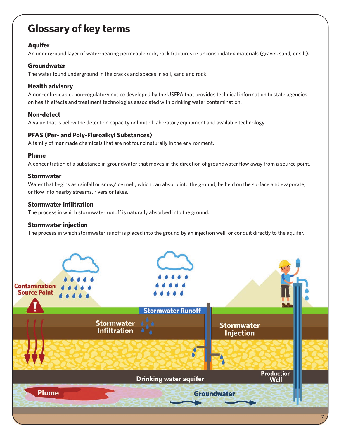## **Glossary of key terms**

#### **Aquifer**

An underground layer of water-bearing permeable rock, rock fractures or unconsolidated materials (gravel, sand, or silt).

#### **Groundwater**

The water found underground in the cracks and spaces in soil, sand and rock.

#### **Health advisory**

A non-enforceable, non-regulatory notice developed by the USEPA that provides technical information to state agencies on health effects and treatment technologies associated with drinking water contamination.

#### **Non-detect**

A value that is below the detection capacity or limit of laboratory equipment and available technology.

#### **PFAS (Per- and Poly-Fluroalkyl Substances)**

A family of manmade chemicals that are not found naturally in the environment.

#### **Plume**

A concentration of a substance in groundwater that moves in the direction of groundwater flow away from a source point.

#### **Stormwater**

Water that begins as rainfall or snow/ice melt, which can absorb into the ground, be held on the surface and evaporate, or flow into nearby streams, rivers or lakes.

#### **Stormwater infiltration**

The process in which stormwater runoff is naturally absorbed into the ground.

#### **Stormwater injection**

The process in which stormwater runoff is placed into the ground by an injection well, or conduit directly to the aquifer.

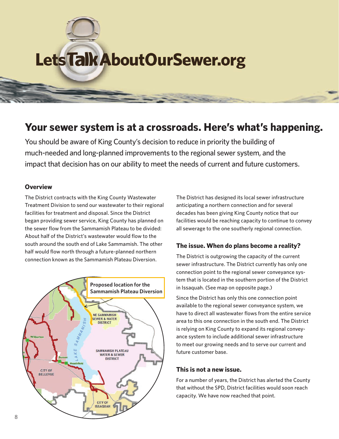# Lets Talk About Our Sewer.org

## **Your sewer system is at a crossroads. Here's what's happening.**

You should be aware of King County's decision to reduce in priority the building of much-needed and long-planned improvements to the regional sewer system, and the impact that decision has on our ability to meet the needs of current and future customers.

#### **Overview**

The District contracts with the King County Wastewater Treatment Division to send our wastewater to their regional facilities for treatment and disposal. Since the District began providing sewer service, King County has planned on the sewer flow from the Sammamish Plateau to be divided: About half of the District's wastewater would flow to the south around the south end of Lake Sammamish. The other half would flow north through a future-planned northern connection known as the Sammamish Plateau Diversion.



The District has designed its local sewer infrastructure anticipating a northern connection and for several decades has been giving King County notice that our facilities would be reaching capacity to continue to convey all sewerage to the one southerly regional connection.

#### **The issue. When do plans become a reality?**

The District is outgrowing the capacity of the current sewer infrastructure. The District currently has only one connection point to the regional sewer conveyance system that is located in the southern portion of the District in Issaquah. (See map on opposite page.)

Since the District has only this one connection point available to the regional sewer conveyance system, we have to direct all wastewater flows from the entire service area to this one connection in the south end. The District is relying on King County to expand its regional conveyance system to include additional sewer infrastructure to meet our growing needs and to serve our current and future customer base.

#### **This is not a new issue.**

For a number of years, the District has alerted the County that without the SPD, District facilities would soon reach capacity. We have now reached that point.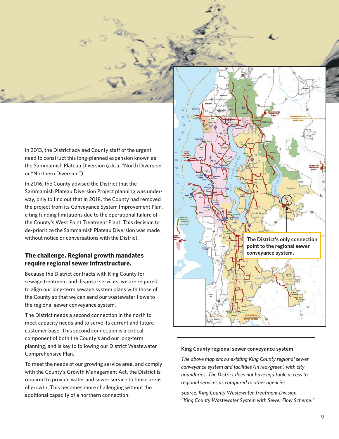In 2013, the District advised County staff of the urgent need to construct this long-planned expansion known as the Sammamish Plateau Diversion (a.k.a. "North Diversion" or "Northern Diversion").

In 2016, the County advised the District that the Sammamish Plateau Diversion Project planning was underway, only to find out that in 2018, the County had removed the project from its Conveyance System Improvement Plan, citing funding limitations due to the operational failure of the County's West Point Treatment Plant. This decision to de-prioritize the Sammamish Plateau Diversion was made without notice or conversations with the District.

#### **The challenge. Regional growth mandates require regional sewer infrastructure.**

Because the District contracts with King County for sewage treatment and disposal services, we are required to align our long-term sewage system plans with those of the County so that we can send our wastewater flows to the regional sewer conveyance system.

The District needs a second connection in the north to meet capacity needs and to serve its current and future customer base. This second connection is a critical component of both the County's and our long-term planning, and is key to following our District Wastewater Comprehensive Plan.

To meet the needs of our growing service area, and comply with the County's Growth Management Act, the District is required to provide water and sewer service to those areas of growth. This becomes more challenging without the additional capacity of a northern connection.



#### **King County regional sewer conveyance system**

*The above map shows existing King County regional sewer conveyance system and facilities (in red/green) with city boundaries. The District does not have equitable access to regional services as compared to other agencies.*

*Source: King County Wastewater Treatment Division, "King County Wastewater System with Sewer Flow Scheme."*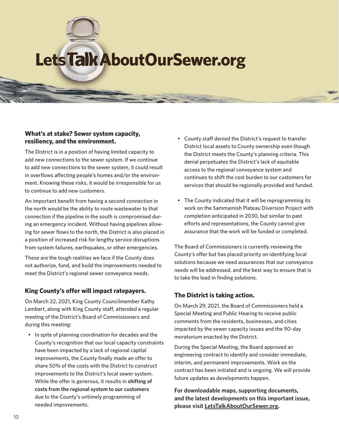## Lets Talk About Our Sewer.org

#### **What's at stake? Sewer system capacity, resiliency, and the environment.**

The District is in a position of having limited capacity to add new connections to the sewer system. If we continue to add new connections to the sewer system, it could result in overflows affecting people's homes and/or the environment. Knowing these risks, it would be irresponsible for us to continue to add new customers.

An important benefit from having a second connection in the north would be the ability to route wastewater to that connection if the pipeline in the south is compromised during an emergency incident. Without having pipelines allowing for sewer flows to the north, the District is also placed in a position of increased risk for lengthy service disruptions from system failures, earthquakes, or other emergencies.

These are the tough realities we face if the County does not authorize, fund, and build the improvements needed to meet the District's regional sewer conveyance needs.

#### **King County's offer will impact ratepayers.**

On March 22, 2021, King County Councilmember Kathy Lambert, along with King County staff, attended a regular meeting of the District's Board of Commissioners and during this meeting:

• In spite of planning coordination for decades and the County's recognition that our local capacity constraints have been impacted by a lack of regional capital improvements, the County finally made an offer to share 50% of the costs with the District to construct improvements to the District's local sewer system. While the offer is generous, it results in **shifting of costs from the regional system to our customers** due to the County's untimely programming of needed improvements.

- County staff denied the District's request to transfer District local assets to County ownership even though the District meets the County's planning criteria. This denial perpetuates the District's lack of equitable access to the regional conveyance system and continues to shift the cost burden to our customers for services that should be regionally provided and funded.
- The County indicated that it will be reprogramming its work on the Sammamish Plateau Diversion Project with completion anticipated in 2030, but similar to past efforts and representations, the County cannot give assurance that the work will be funded or completed.

The Board of Commissioners is currently reviewing the County's offer but has placed priority on identifying local solutions because we need assurances that our conveyance needs will be addressed, and the best way to ensure that is to take the lead in finding solutions.

#### **The District is taking action.**

On March 29, 2021, the Board of Commissioners held a Special Meeting and Public Hearing to receive public comments from the residents, businesses, and cities impacted by the sewer capacity issues and the 90-day moratorium enacted by the District.

During the Special Meeting, the Board approved an engineering contract to identify and consider immediate, interim, and permanent improvements. Work on the contract has been initiated and is ongoing. We will provide future updates as developments happen.

**For downloadable maps, supporting documents, and the latest developments on this important issue, please visit LetsTalkAboutOurSewer.org.**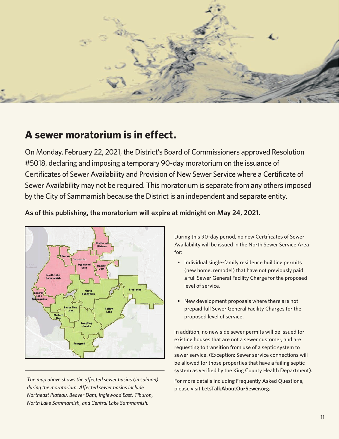

## **A sewer moratorium is in effect.**

On Monday, February 22, 2021, the District's Board of Commissioners approved Resolution #5018, declaring and imposing a temporary 90-day moratorium on the issuance of Certificates of Sewer Availability and Provision of New Sewer Service where a Certificate of Sewer Availability may not be required. This moratorium is separate from any others imposed by the City of Sammamish because the District is an independent and separate entity.



#### **As of this publishing, the moratorium will expire at midnight on May 24, 2021.**

*The map above shows the affected sewer basins (in salmon) during the moratorium. Affected sewer basins include Northeast Plateau, Beaver Dam, Inglewood East, Tiburon, North Lake Sammamish, and Central Lake Sammamish.*

During this 90-day period, no new Certificates of Sewer Availability will be issued in the North Sewer Service Area for:

- Individual single-family residence building permits (new home, remodel) that have not previously paid a full Sewer General Facility Charge for the proposed level of service.
- New development proposals where there are not prepaid full Sewer General Facility Charges for the proposed level of service.

In addition, no new side sewer permits will be issued for existing houses that are not a sewer customer, and are requesting to transition from use of a septic system to sewer service. (Exception: Sewer service connections will be allowed for those properties that have a failing septic system as verified by the King County Health Department).

For more details including Frequently Asked Questions, please visit **LetsTalkAboutOurSewer.org.**